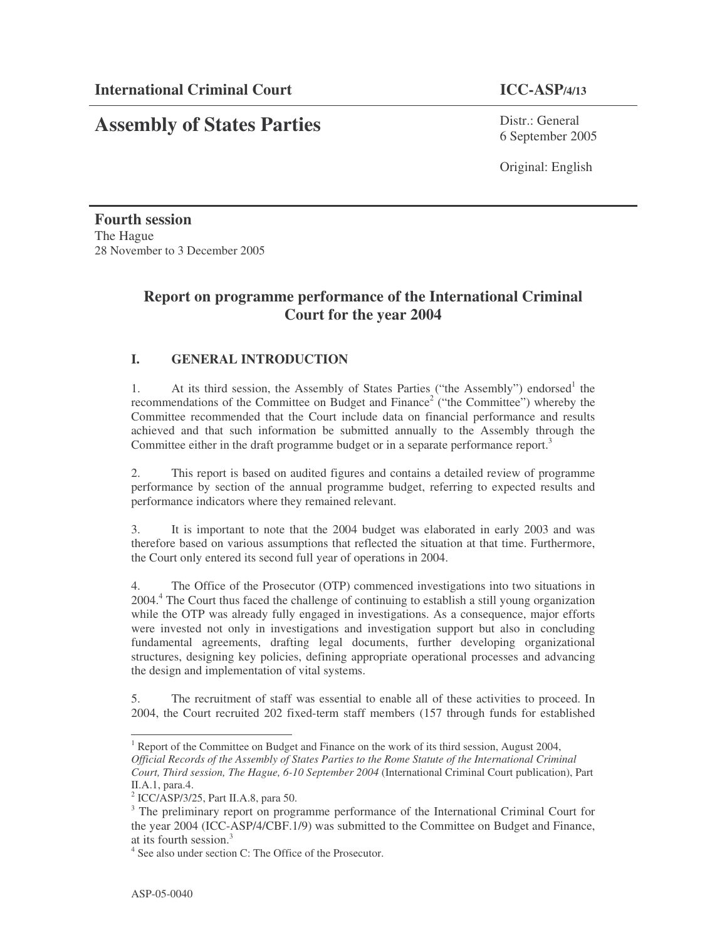# **Assembly of States Parties**

Distr.: General 6 September 2005

Original: English

**Fourth session** The Hague 28 November to 3 December 2005

# **Report on programme performance of the International Criminal Court for the year 2004**

# **I. GENERAL INTRODUCTION**

1. At its third session, the Assembly of States Parties ("the Assembly") endorsed<sup>1</sup> the recommendations of the Committee on Budget and Finance<sup>2</sup> ("the Committee") whereby the Committee recommended that the Court include data on financial performance and results achieved and that such information be submitted annually to the Assembly through the Committee either in the draft programme budget or in a separate performance report.<sup>3</sup>

2. This report is based on audited figures and contains a detailed review of programme performance by section of the annual programme budget, referring to expected results and performance indicators where they remained relevant.

3. It is important to note that the 2004 budget was elaborated in early 2003 and was therefore based on various assumptions that reflected the situation at that time. Furthermore, the Court only entered its second full year of operations in 2004.

4. The Office of the Prosecutor (OTP) commenced investigations into two situations in 2004.<sup>4</sup> The Court thus faced the challenge of continuing to establish a still young organization while the OTP was already fully engaged in investigations. As a consequence, major efforts were invested not only in investigations and investigation support but also in concluding fundamental agreements, drafting legal documents, further developing organizational structures, designing key policies, defining appropriate operational processes and advancing the design and implementation of vital systems.

5. The recruitment of staff was essential to enable all of these activities to proceed. In 2004, the Court recruited 202 fixed-term staff members (157 through funds for established

<sup>&</sup>lt;sup>1</sup> Report of the Committee on Budget and Finance on the work of its third session, August 2004,

*Official Records of the Assembly of States Parties to the Rome Statute of the International Criminal Court, Third session, The Hague, 6-10 September 2004* (International Criminal Court publication), Part II.A.1, para.4.

<sup>2</sup> ICC/ASP/3/25, Part II.A.8, para 50.

<sup>&</sup>lt;sup>3</sup> The preliminary report on programme performance of the International Criminal Court for the year 2004 (ICC-ASP/4/CBF.1/9) was submitted to the Committee on Budget and Finance, at its fourth session. 3

<sup>4</sup> See also under section C: The Office of the Prosecutor.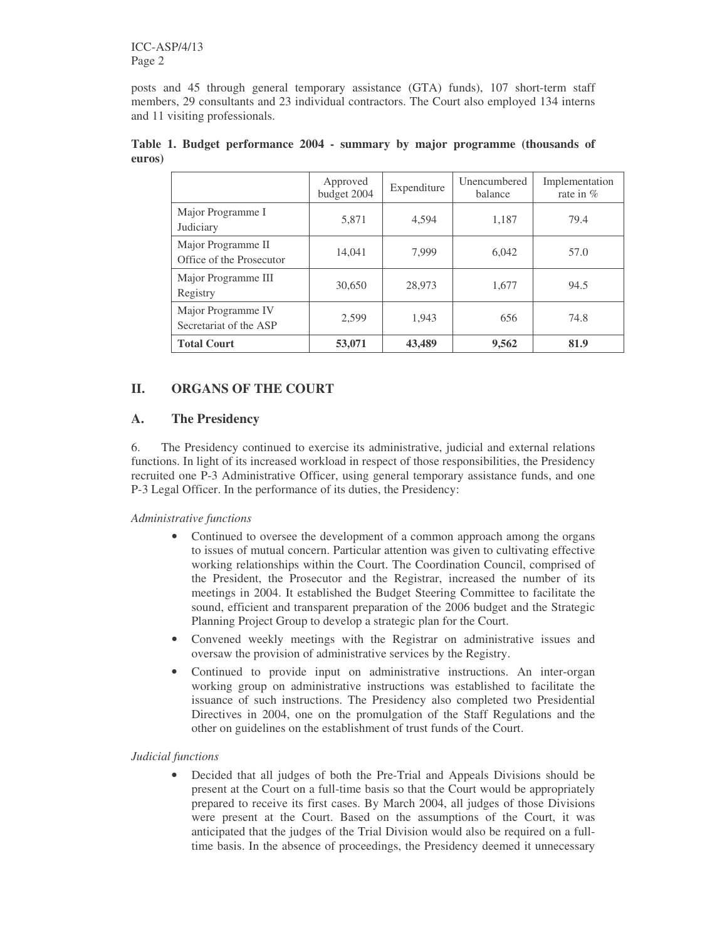posts and 45 through general temporary assistance (GTA) funds), 107 short-term staff members, 29 consultants and 23 individual contractors. The Court also employed 134 interns and 11 visiting professionals.

|                                                | Approved<br>budget 2004 | Expenditure | Unencumbered<br>balance | Implementation<br>rate in $%$ |
|------------------------------------------------|-------------------------|-------------|-------------------------|-------------------------------|
| Major Programme I<br>Judiciary                 | 5,871                   | 4,594       | 1,187                   | 79.4                          |
| Major Programme II<br>Office of the Prosecutor | 14,041                  | 7,999       | 6.042                   | 57.0                          |
| Major Programme III<br>Registry                | 30,650                  | 28,973      | 1,677                   | 94.5                          |
| Major Programme IV<br>Secretariat of the ASP   | 2,599                   | 1,943       | 656                     | 74.8                          |
| <b>Total Court</b>                             | 53,071                  | 43,489      | 9,562                   | 81.9                          |

|        |  | Table 1. Budget performance 2004 - summary by major programme (thousands of |  |  |  |  |
|--------|--|-----------------------------------------------------------------------------|--|--|--|--|
| euros) |  |                                                                             |  |  |  |  |

# **II. ORGANS OF THE COURT**

# **A. The Presidency**

6. The Presidency continued to exercise its administrative, judicial and external relations functions. In light of its increased workload in respect of those responsibilities, the Presidency recruited one P-3 Administrative Officer, using general temporary assistance funds, and one P-3 Legal Officer. In the performance of its duties, the Presidency:

#### *Administrative functions*

- Continued to oversee the development of a common approach among the organs to issues of mutual concern. Particular attention was given to cultivating effective working relationships within the Court. The Coordination Council, comprised of the President, the Prosecutor and the Registrar, increased the number of its meetings in 2004. It established the Budget Steering Committee to facilitate the sound, efficient and transparent preparation of the 2006 budget and the Strategic Planning Project Group to develop a strategic plan for the Court.
- Convened weekly meetings with the Registrar on administrative issues and oversaw the provision of administrative services by the Registry.
- Continued to provide input on administrative instructions. An inter-organ working group on administrative instructions was established to facilitate the issuance of such instructions. The Presidency also completed two Presidential Directives in 2004, one on the promulgation of the Staff Regulations and the other on guidelines on the establishment of trust funds of the Court.

#### *Judicial functions*

• Decided that all judges of both the Pre-Trial and Appeals Divisions should be present at the Court on a full-time basis so that the Court would be appropriately prepared to receive its first cases. By March 2004, all judges of those Divisions were present at the Court. Based on the assumptions of the Court, it was anticipated that the judges of the Trial Division would also be required on a fulltime basis. In the absence of proceedings, the Presidency deemed it unnecessary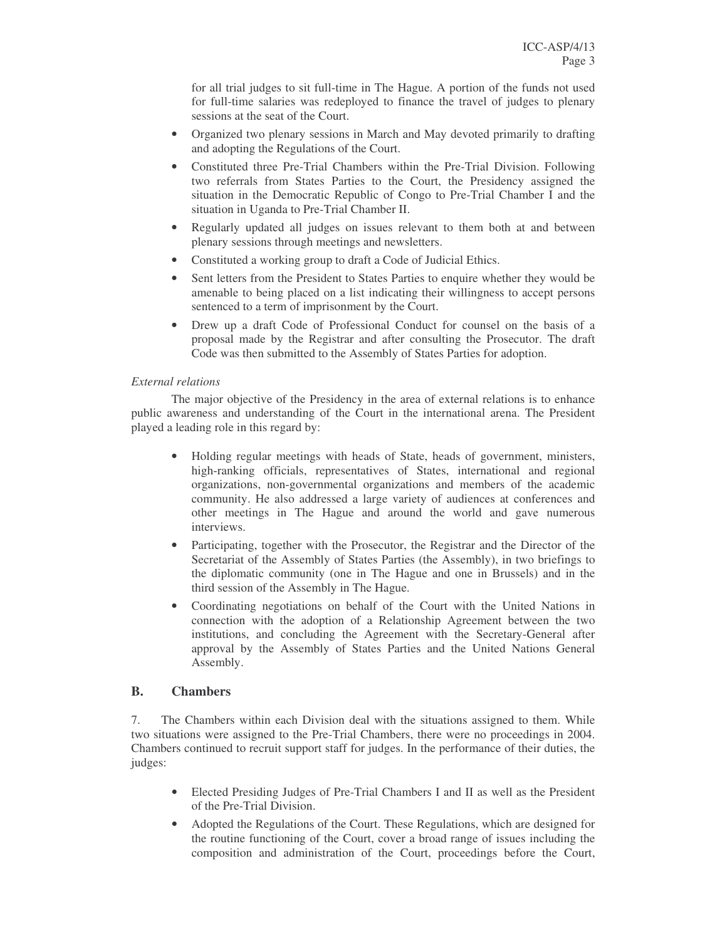for all trial judges to sit full-time in The Hague. A portion of the funds not used for full-time salaries was redeployed to finance the travel of judges to plenary sessions at the seat of the Court.

- Organized two plenary sessions in March and May devoted primarily to drafting and adopting the Regulations of the Court.
- Constituted three Pre-Trial Chambers within the Pre-Trial Division. Following two referrals from States Parties to the Court, the Presidency assigned the situation in the Democratic Republic of Congo to Pre-Trial Chamber I and the situation in Uganda to Pre-Trial Chamber II.
- Regularly updated all judges on issues relevant to them both at and between plenary sessions through meetings and newsletters.
- Constituted a working group to draft a Code of Judicial Ethics.
- Sent letters from the President to States Parties to enquire whether they would be amenable to being placed on a list indicating their willingness to accept persons sentenced to a term of imprisonment by the Court.
- Drew up a draft Code of Professional Conduct for counsel on the basis of a proposal made by the Registrar and after consulting the Prosecutor. The draft Code was then submitted to the Assembly of States Parties for adoption.

#### *External relations*

The major objective of the Presidency in the area of external relations is to enhance public awareness and understanding of the Court in the international arena. The President played a leading role in this regard by:

- Holding regular meetings with heads of State, heads of government, ministers, high-ranking officials, representatives of States, international and regional organizations, non-governmental organizations and members of the academic community. He also addressed a large variety of audiences at conferences and other meetings in The Hague and around the world and gave numerous interviews.
- Participating, together with the Prosecutor, the Registrar and the Director of the Secretariat of the Assembly of States Parties (the Assembly), in two briefings to the diplomatic community (one in The Hague and one in Brussels) and in the third session of the Assembly in The Hague.
- Coordinating negotiations on behalf of the Court with the United Nations in connection with the adoption of a Relationship Agreement between the two institutions, and concluding the Agreement with the Secretary-General after approval by the Assembly of States Parties and the United Nations General Assembly.

# **B. Chambers**

7. The Chambers within each Division deal with the situations assigned to them. While two situations were assigned to the Pre-Trial Chambers, there were no proceedings in 2004. Chambers continued to recruit support staff for judges. In the performance of their duties, the judges:

- Elected Presiding Judges of Pre-Trial Chambers I and II as well as the President of the Pre-Trial Division.
- Adopted the Regulations of the Court. These Regulations, which are designed for the routine functioning of the Court, cover a broad range of issues including the composition and administration of the Court, proceedings before the Court,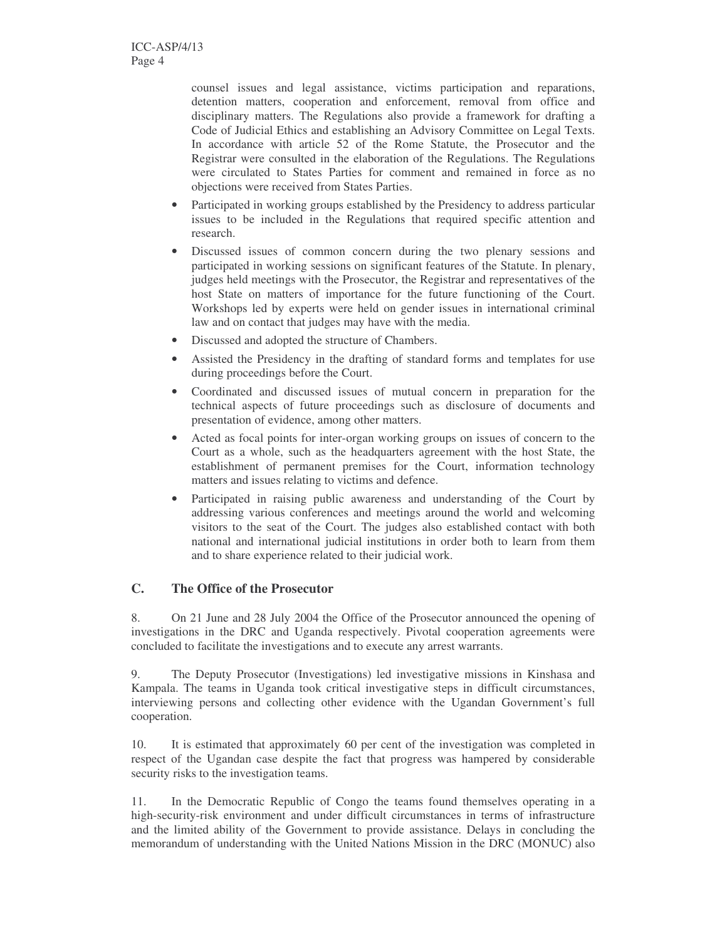counsel issues and legal assistance, victims participation and reparations, detention matters, cooperation and enforcement, removal from office and disciplinary matters. The Regulations also provide a framework for drafting a Code of Judicial Ethics and establishing an Advisory Committee on Legal Texts. In accordance with article 52 of the Rome Statute, the Prosecutor and the Registrar were consulted in the elaboration of the Regulations. The Regulations were circulated to States Parties for comment and remained in force as no objections were received from States Parties.

- Participated in working groups established by the Presidency to address particular issues to be included in the Regulations that required specific attention and research.
- Discussed issues of common concern during the two plenary sessions and participated in working sessions on significant features of the Statute. In plenary, judges held meetings with the Prosecutor, the Registrar and representatives of the host State on matters of importance for the future functioning of the Court. Workshops led by experts were held on gender issues in international criminal law and on contact that judges may have with the media.
- Discussed and adopted the structure of Chambers.
- Assisted the Presidency in the drafting of standard forms and templates for use during proceedings before the Court.
- Coordinated and discussed issues of mutual concern in preparation for the technical aspects of future proceedings such as disclosure of documents and presentation of evidence, among other matters.
- Acted as focal points for inter-organ working groups on issues of concern to the Court as a whole, such as the headquarters agreement with the host State, the establishment of permanent premises for the Court, information technology matters and issues relating to victims and defence.
- Participated in raising public awareness and understanding of the Court by addressing various conferences and meetings around the world and welcoming visitors to the seat of the Court. The judges also established contact with both national and international judicial institutions in order both to learn from them and to share experience related to their judicial work.

# **C. The Office of the Prosecutor**

8. On 21 June and 28 July 2004 the Office of the Prosecutor announced the opening of investigations in the DRC and Uganda respectively. Pivotal cooperation agreements were concluded to facilitate the investigations and to execute any arrest warrants.

9. The Deputy Prosecutor (Investigations) led investigative missions in Kinshasa and Kampala. The teams in Uganda took critical investigative steps in difficult circumstances, interviewing persons and collecting other evidence with the Ugandan Government's full cooperation.

10. It is estimated that approximately 60 per cent of the investigation was completed in respect of the Ugandan case despite the fact that progress was hampered by considerable security risks to the investigation teams.

11. In the Democratic Republic of Congo the teams found themselves operating in a high-security-risk environment and under difficult circumstances in terms of infrastructure and the limited ability of the Government to provide assistance. Delays in concluding the memorandum of understanding with the United Nations Mission in the DRC (MONUC) also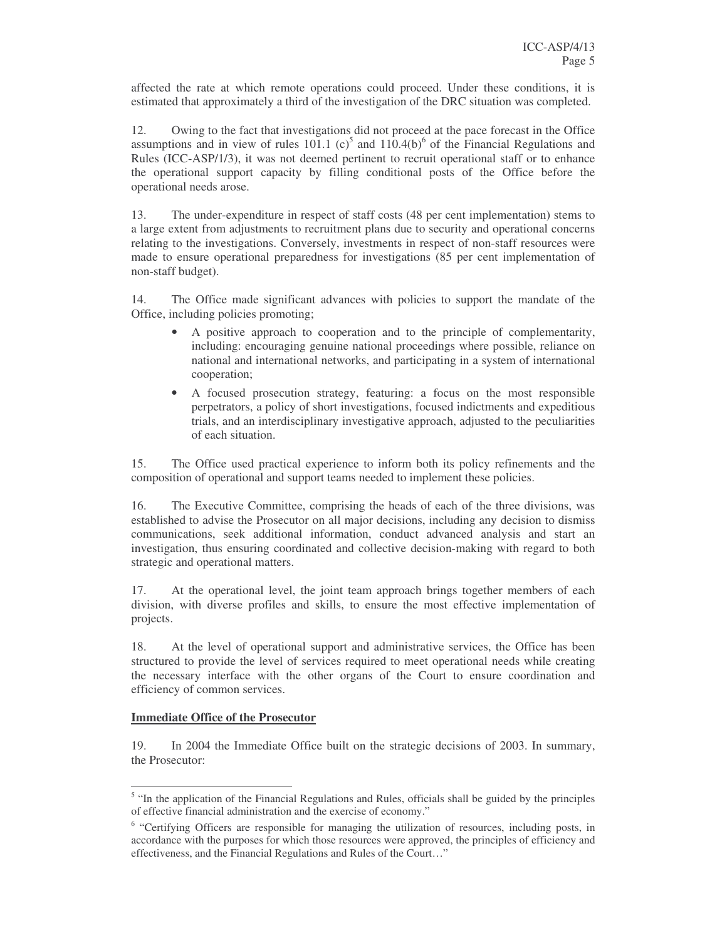affected the rate at which remote operations could proceed. Under these conditions, it is estimated that approximately a third of the investigation of the DRC situation was completed.

12. Owing to the fact that investigations did not proceed at the pace forecast in the Office assumptions and in view of rules  $101.1$  (c)<sup>5</sup> and  $110.4(b)$ <sup>6</sup> of the Financial Regulations and Rules (ICC-ASP/1/3), it was not deemed pertinent to recruit operational staff or to enhance the operational support capacity by filling conditional posts of the Office before the operational needs arose.

13. The under-expenditure in respect of staff costs (48 per cent implementation) stems to a large extent from adjustments to recruitment plans due to security and operational concerns relating to the investigations. Conversely, investments in respect of non-staff resources were made to ensure operational preparedness for investigations (85 per cent implementation of non-staff budget).

14. The Office made significant advances with policies to support the mandate of the Office, including policies promoting;

- A positive approach to cooperation and to the principle of complementarity, including: encouraging genuine national proceedings where possible, reliance on national and international networks, and participating in a system of international cooperation;
- A focused prosecution strategy, featuring: a focus on the most responsible perpetrators, a policy of short investigations, focused indictments and expeditious trials, and an interdisciplinary investigative approach, adjusted to the peculiarities of each situation.

15. The Office used practical experience to inform both its policy refinements and the composition of operational and support teams needed to implement these policies.

16. The Executive Committee, comprising the heads of each of the three divisions, was established to advise the Prosecutor on all major decisions, including any decision to dismiss communications, seek additional information, conduct advanced analysis and start an investigation, thus ensuring coordinated and collective decision-making with regard to both strategic and operational matters.

17. At the operational level, the joint team approach brings together members of each division, with diverse profiles and skills, to ensure the most effective implementation of projects.

18. At the level of operational support and administrative services, the Office has been structured to provide the level of services required to meet operational needs while creating the necessary interface with the other organs of the Court to ensure coordination and efficiency of common services.

#### **Immediate Office of the Prosecutor**

19. In 2004 the Immediate Office built on the strategic decisions of 2003. In summary, the Prosecutor:

<sup>&</sup>lt;sup>5</sup> "In the application of the Financial Regulations and Rules, officials shall be guided by the principles of effective financial administration and the exercise of economy."

<sup>&</sup>lt;sup>6</sup> "Certifying Officers are responsible for managing the utilization of resources, including posts, in accordance with the purposes for which those resources were approved, the principles of efficiency and effectiveness, and the Financial Regulations and Rules of the Court…"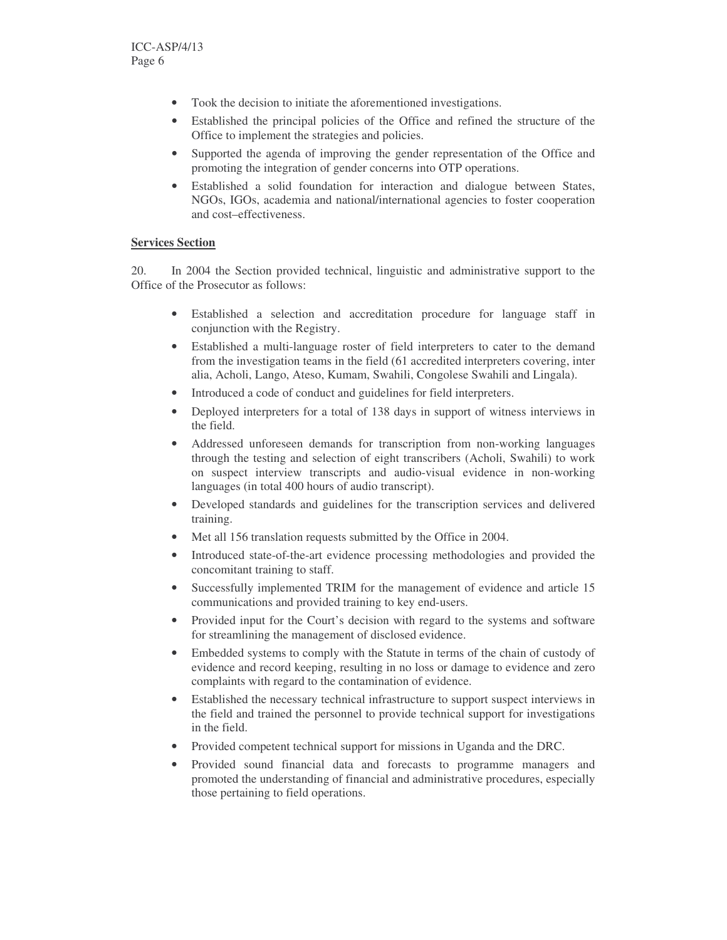- Took the decision to initiate the aforementioned investigations.
- Established the principal policies of the Office and refined the structure of the Office to implement the strategies and policies.
- Supported the agenda of improving the gender representation of the Office and promoting the integration of gender concerns into OTP operations.
- Established a solid foundation for interaction and dialogue between States, NGOs, IGOs, academia and national/international agencies to foster cooperation and cost–effectiveness.

#### **Services Section**

20. In 2004 the Section provided technical, linguistic and administrative support to the Office of the Prosecutor as follows:

- Established a selection and accreditation procedure for language staff in conjunction with the Registry.
- Established a multi-language roster of field interpreters to cater to the demand from the investigation teams in the field (61 accredited interpreters covering, inter alia, Acholi, Lango, Ateso, Kumam, Swahili, Congolese Swahili and Lingala).
- Introduced a code of conduct and guidelines for field interpreters.
- Deployed interpreters for a total of 138 days in support of witness interviews in the field.
- Addressed unforeseen demands for transcription from non-working languages through the testing and selection of eight transcribers (Acholi, Swahili) to work on suspect interview transcripts and audio-visual evidence in non-working languages (in total 400 hours of audio transcript).
- Developed standards and guidelines for the transcription services and delivered training.
- Met all 156 translation requests submitted by the Office in 2004.
- Introduced state-of-the-art evidence processing methodologies and provided the concomitant training to staff.
- Successfully implemented TRIM for the management of evidence and article 15 communications and provided training to key end-users.
- Provided input for the Court's decision with regard to the systems and software for streamlining the management of disclosed evidence.
- Embedded systems to comply with the Statute in terms of the chain of custody of evidence and record keeping, resulting in no loss or damage to evidence and zero complaints with regard to the contamination of evidence.
- Established the necessary technical infrastructure to support suspect interviews in the field and trained the personnel to provide technical support for investigations in the field.
- Provided competent technical support for missions in Uganda and the DRC.
- Provided sound financial data and forecasts to programme managers and promoted the understanding of financial and administrative procedures, especially those pertaining to field operations.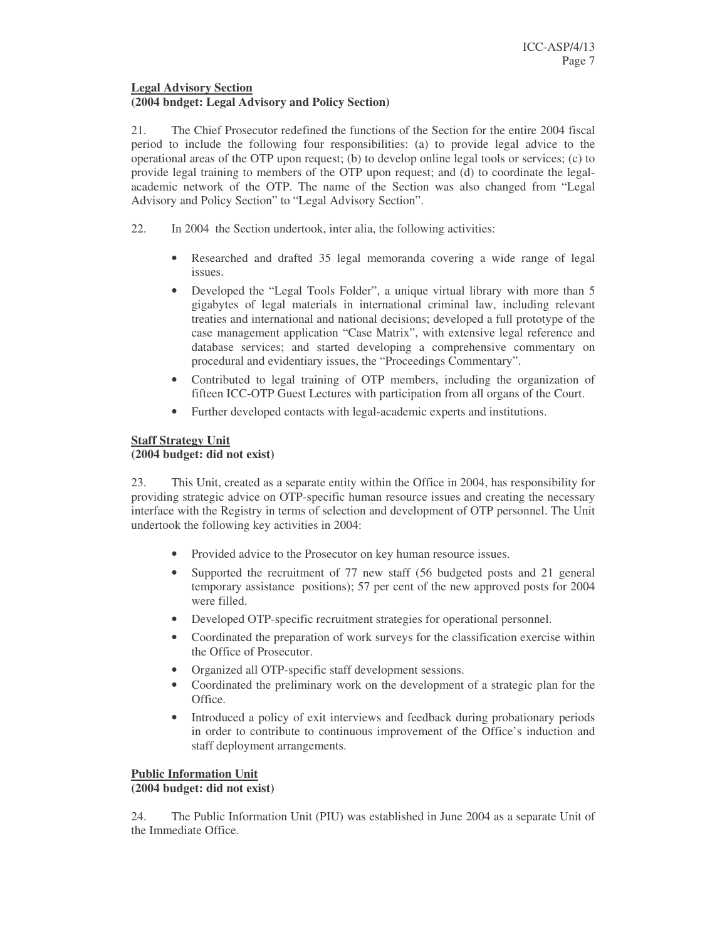# **Legal Advisory Section**

#### **(2004 bndget: Legal Advisory and Policy Section)**

21. The Chief Prosecutor redefined the functions of the Section for the entire 2004 fiscal period to include the following four responsibilities: (a) to provide legal advice to the operational areas of the OTP upon request; (b) to develop online legal tools or services; (c) to provide legal training to members of the OTP upon request; and (d) to coordinate the legalacademic network of the OTP. The name of the Section was also changed from "Legal Advisory and Policy Section" to "Legal Advisory Section".

- 22. In 2004 the Section undertook, inter alia, the following activities:
	- Researched and drafted 35 legal memoranda covering a wide range of legal issues.
	- Developed the "Legal Tools Folder", a unique virtual library with more than 5 gigabytes of legal materials in international criminal law, including relevant treaties and international and national decisions; developed a full prototype of the case management application "Case Matrix", with extensive legal reference and database services; and started developing a comprehensive commentary on procedural and evidentiary issues, the "Proceedings Commentary".
	- Contributed to legal training of OTP members, including the organization of fifteen ICC-OTP Guest Lectures with participation from all organs of the Court.
	- Further developed contacts with legal-academic experts and institutions.

#### **Staff Strategy Unit (2004 budget: did not exist)**

23. This Unit, created as a separate entity within the Office in 2004, has responsibility for providing strategic advice on OTP-specific human resource issues and creating the necessary interface with the Registry in terms of selection and development of OTP personnel. The Unit undertook the following key activities in 2004:

- Provided advice to the Prosecutor on key human resource issues.
- Supported the recruitment of 77 new staff (56 budgeted posts and 21 general temporary assistance positions); 57 per cent of the new approved posts for 2004 were filled.
- Developed OTP-specific recruitment strategies for operational personnel.
- Coordinated the preparation of work surveys for the classification exercise within the Office of Prosecutor.
- Organized all OTP-specific staff development sessions.
- Coordinated the preliminary work on the development of a strategic plan for the Office.
- Introduced a policy of exit interviews and feedback during probationary periods in order to contribute to continuous improvement of the Office's induction and staff deployment arrangements.

#### **Public Information Unit**

#### **(2004 budget: did not exist)**

24. The Public Information Unit (PIU) was established in June 2004 as a separate Unit of the Immediate Office.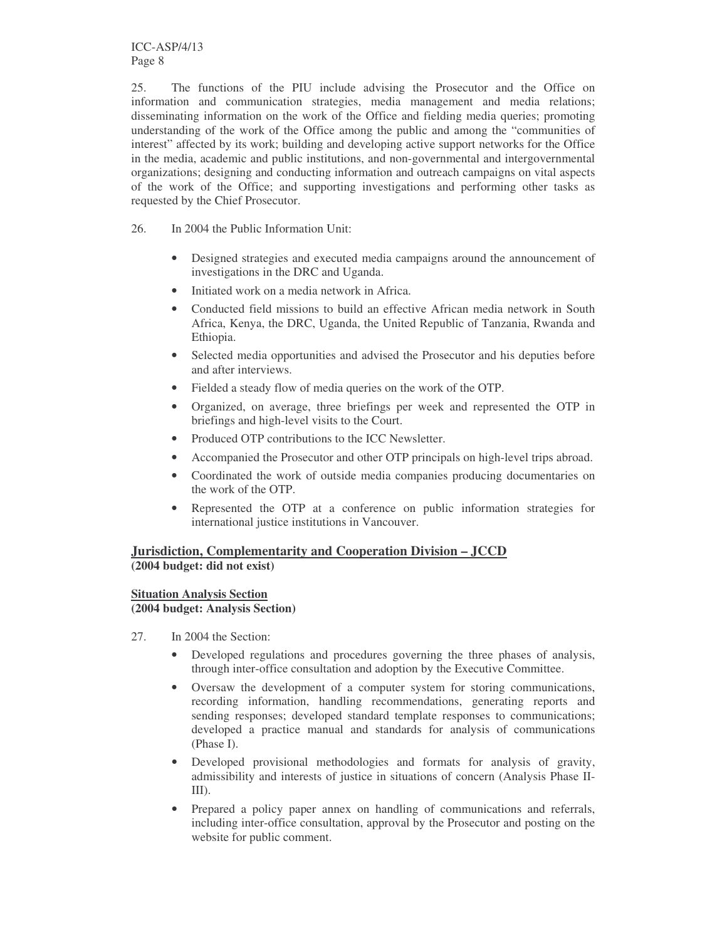ICC-ASP/4/13 Page 8

25. The functions of the PIU include advising the Prosecutor and the Office on information and communication strategies, media management and media relations; disseminating information on the work of the Office and fielding media queries; promoting understanding of the work of the Office among the public and among the "communities of interest" affected by its work; building and developing active support networks for the Office in the media, academic and public institutions, and non-governmental and intergovernmental organizations; designing and conducting information and outreach campaigns on vital aspects of the work of the Office; and supporting investigations and performing other tasks as requested by the Chief Prosecutor.

- 26. In 2004 the Public Information Unit:
	- Designed strategies and executed media campaigns around the announcement of investigations in the DRC and Uganda.
	- Initiated work on a media network in Africa.
	- Conducted field missions to build an effective African media network in South Africa, Kenya, the DRC, Uganda, the United Republic of Tanzania, Rwanda and Ethiopia.
	- Selected media opportunities and advised the Prosecutor and his deputies before and after interviews.
	- Fielded a steady flow of media queries on the work of the OTP.
	- Organized, on average, three briefings per week and represented the OTP in briefings and high-level visits to the Court.
	- Produced OTP contributions to the ICC Newsletter.
	- Accompanied the Prosecutor and other OTP principals on high-level trips abroad.
	- Coordinated the work of outside media companies producing documentaries on the work of the OTP.
	- Represented the OTP at a conference on public information strategies for international justice institutions in Vancouver.

# **Jurisdiction, Complementarity and Cooperation Division – JCCD (2004 budget: did not exist)**

# **Situation Analysis Section**

#### **(2004 budget: Analysis Section)**

- 27. In 2004 the Section:
	- Developed regulations and procedures governing the three phases of analysis, through inter-office consultation and adoption by the Executive Committee.
	- Oversaw the development of a computer system for storing communications, recording information, handling recommendations, generating reports and sending responses; developed standard template responses to communications; developed a practice manual and standards for analysis of communications (Phase I).
	- Developed provisional methodologies and formats for analysis of gravity, admissibility and interests of justice in situations of concern (Analysis Phase II-III).
	- Prepared a policy paper annex on handling of communications and referrals, including inter-office consultation, approval by the Prosecutor and posting on the website for public comment.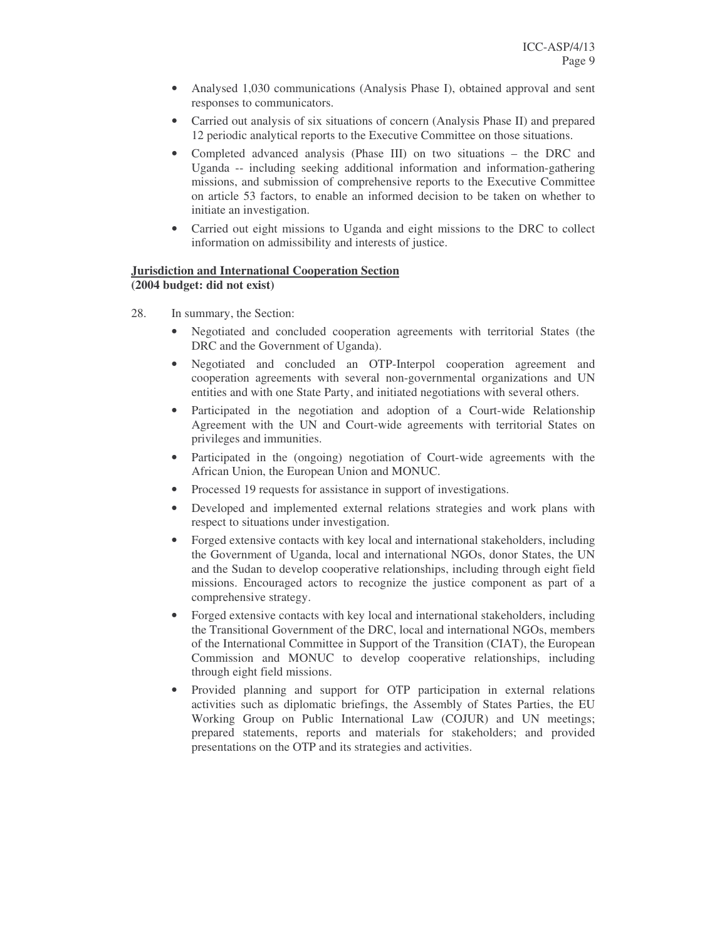- Analysed 1,030 communications (Analysis Phase I), obtained approval and sent responses to communicators.
- Carried out analysis of six situations of concern (Analysis Phase II) and prepared 12 periodic analytical reports to the Executive Committee on those situations.
- Completed advanced analysis (Phase III) on two situations the DRC and Uganda -- including seeking additional information and information-gathering missions, and submission of comprehensive reports to the Executive Committee on article 53 factors, to enable an informed decision to be taken on whether to initiate an investigation.
- Carried out eight missions to Uganda and eight missions to the DRC to collect information on admissibility and interests of justice.

# **Jurisdiction and International Cooperation Section**

**(2004 budget: did not exist)**

- 28. In summary, the Section:
	- Negotiated and concluded cooperation agreements with territorial States (the DRC and the Government of Uganda).
	- Negotiated and concluded an OTP-Interpol cooperation agreement and cooperation agreements with several non-governmental organizations and UN entities and with one State Party, and initiated negotiations with several others.
	- Participated in the negotiation and adoption of a Court-wide Relationship Agreement with the UN and Court-wide agreements with territorial States on privileges and immunities.
	- Participated in the (ongoing) negotiation of Court-wide agreements with the African Union, the European Union and MONUC.
	- Processed 19 requests for assistance in support of investigations.
	- Developed and implemented external relations strategies and work plans with respect to situations under investigation.
	- Forged extensive contacts with key local and international stakeholders, including the Government of Uganda, local and international NGOs, donor States, the UN and the Sudan to develop cooperative relationships, including through eight field missions. Encouraged actors to recognize the justice component as part of a comprehensive strategy.
	- Forged extensive contacts with key local and international stakeholders, including the Transitional Government of the DRC, local and international NGOs, members of the International Committee in Support of the Transition (CIAT), the European Commission and MONUC to develop cooperative relationships, including through eight field missions.
	- Provided planning and support for OTP participation in external relations activities such as diplomatic briefings, the Assembly of States Parties, the EU Working Group on Public International Law (COJUR) and UN meetings; prepared statements, reports and materials for stakeholders; and provided presentations on the OTP and its strategies and activities.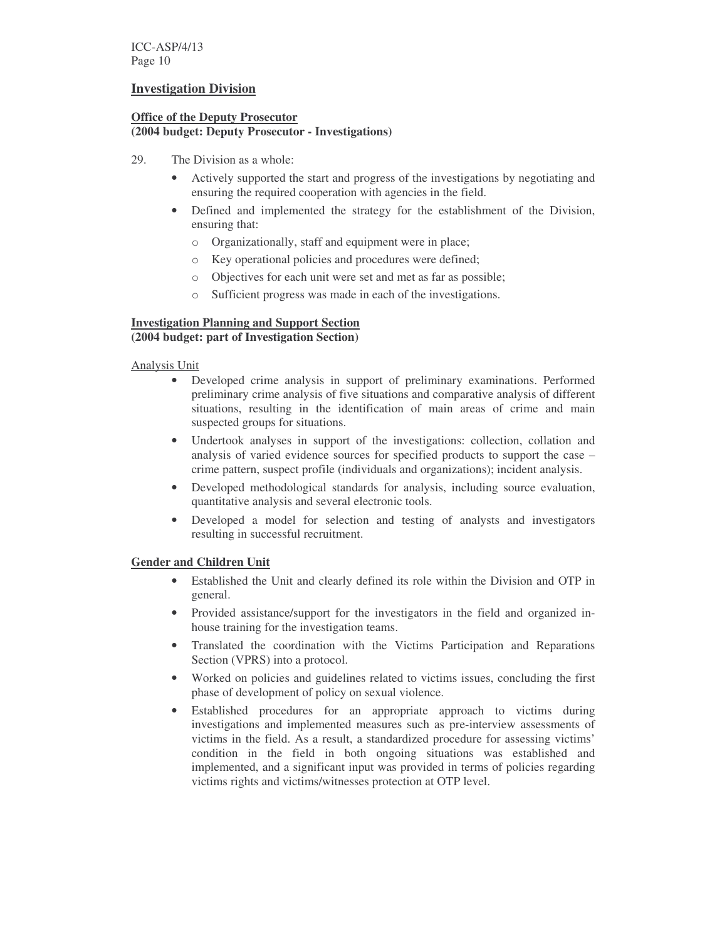#### **Investigation Division**

#### **Office of the Deputy Prosecutor**

#### **(2004 budget: Deputy Prosecutor - Investigations)**

- 29. The Division as a whole:
	- Actively supported the start and progress of the investigations by negotiating and ensuring the required cooperation with agencies in the field.
	- Defined and implemented the strategy for the establishment of the Division, ensuring that:
		- o Organizationally, staff and equipment were in place;
		- o Key operational policies and procedures were defined;
		- o Objectives for each unit were set and met as far as possible;
		- o Sufficient progress was made in each of the investigations.

#### **Investigation Planning and Support Section (2004 budget: part of Investigation Section)**

#### Analysis Unit

- Developed crime analysis in support of preliminary examinations. Performed preliminary crime analysis of five situations and comparative analysis of different situations, resulting in the identification of main areas of crime and main suspected groups for situations.
- Undertook analyses in support of the investigations: collection, collation and analysis of varied evidence sources for specified products to support the case – crime pattern, suspect profile (individuals and organizations); incident analysis.
- Developed methodological standards for analysis, including source evaluation, quantitative analysis and several electronic tools.
- Developed a model for selection and testing of analysts and investigators resulting in successful recruitment.

# **Gender and Children Unit**

- Established the Unit and clearly defined its role within the Division and OTP in general.
- Provided assistance/support for the investigators in the field and organized inhouse training for the investigation teams.
- Translated the coordination with the Victims Participation and Reparations Section (VPRS) into a protocol.
- Worked on policies and guidelines related to victims issues, concluding the first phase of development of policy on sexual violence.
- Established procedures for an appropriate approach to victims during investigations and implemented measures such as pre-interview assessments of victims in the field. As a result, a standardized procedure for assessing victims' condition in the field in both ongoing situations was established and implemented, and a significant input was provided in terms of policies regarding victims rights and victims/witnesses protection at OTP level.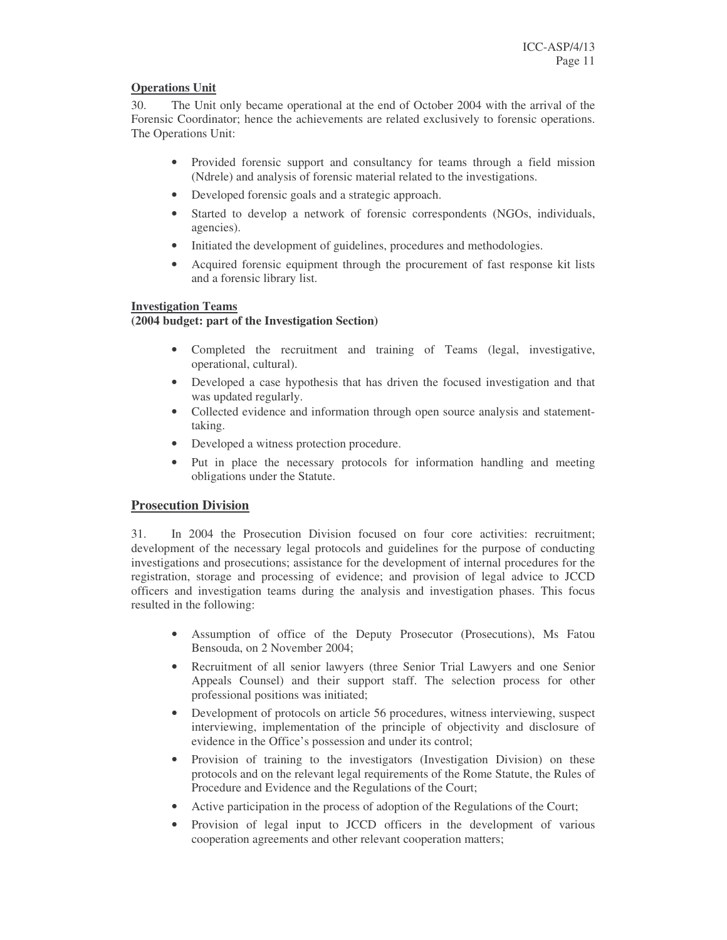#### **Operations Unit**

30. The Unit only became operational at the end of October 2004 with the arrival of the Forensic Coordinator; hence the achievements are related exclusively to forensic operations. The Operations Unit:

- Provided forensic support and consultancy for teams through a field mission (Ndrele) and analysis of forensic material related to the investigations.
- Developed forensic goals and a strategic approach.
- Started to develop a network of forensic correspondents (NGOs, individuals, agencies).
- Initiated the development of guidelines, procedures and methodologies.
- Acquired forensic equipment through the procurement of fast response kit lists and a forensic library list.

#### **Investigation Teams**

#### **(2004 budget: part of the Investigation Section)**

- Completed the recruitment and training of Teams (legal, investigative, operational, cultural).
- Developed a case hypothesis that has driven the focused investigation and that was updated regularly.
- Collected evidence and information through open source analysis and statementtaking.
- Developed a witness protection procedure.
- Put in place the necessary protocols for information handling and meeting obligations under the Statute.

# **Prosecution Division**

31. In 2004 the Prosecution Division focused on four core activities: recruitment; development of the necessary legal protocols and guidelines for the purpose of conducting investigations and prosecutions; assistance for the development of internal procedures for the registration, storage and processing of evidence; and provision of legal advice to JCCD officers and investigation teams during the analysis and investigation phases. This focus resulted in the following:

- Assumption of office of the Deputy Prosecutor (Prosecutions), Ms Fatou Bensouda, on 2 November 2004;
- Recruitment of all senior lawyers (three Senior Trial Lawyers and one Senior Appeals Counsel) and their support staff. The selection process for other professional positions was initiated;
- Development of protocols on article 56 procedures, witness interviewing, suspect interviewing, implementation of the principle of objectivity and disclosure of evidence in the Office's possession and under its control;
- Provision of training to the investigators (Investigation Division) on these protocols and on the relevant legal requirements of the Rome Statute, the Rules of Procedure and Evidence and the Regulations of the Court;
- Active participation in the process of adoption of the Regulations of the Court;
- Provision of legal input to JCCD officers in the development of various cooperation agreements and other relevant cooperation matters;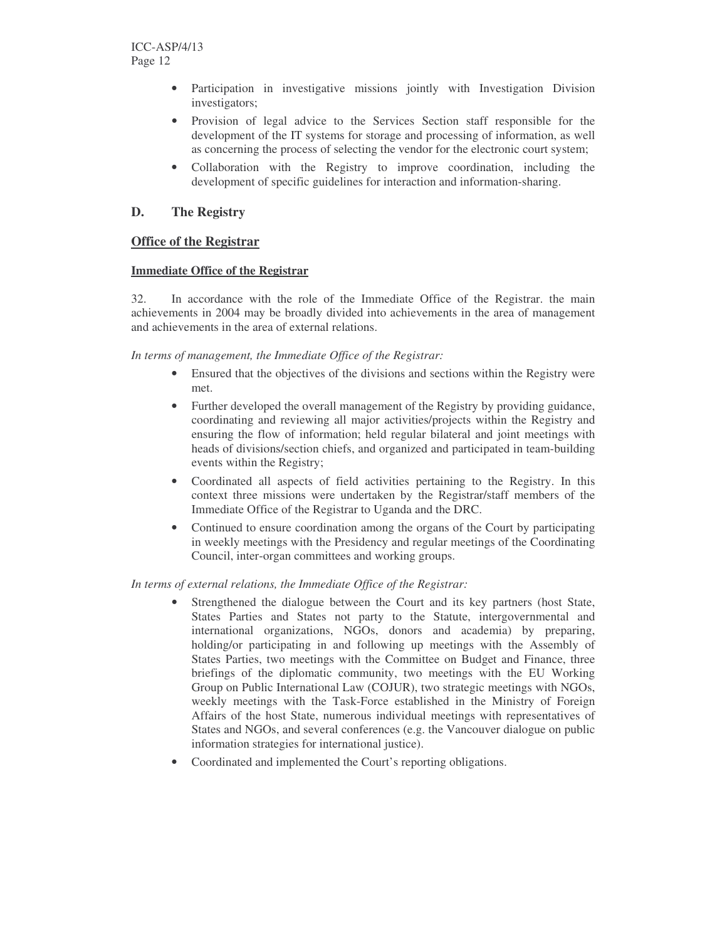- Participation in investigative missions jointly with Investigation Division investigators;
- Provision of legal advice to the Services Section staff responsible for the development of the IT systems for storage and processing of information, as well as concerning the process of selecting the vendor for the electronic court system;
- Collaboration with the Registry to improve coordination, including the development of specific guidelines for interaction and information-sharing.

# **D. The Registry**

# **Office of the Registrar**

#### **Immediate Office of the Registrar**

32. In accordance with the role of the Immediate Office of the Registrar. the main achievements in 2004 may be broadly divided into achievements in the area of management and achievements in the area of external relations.

*In terms of management, the Immediate Office of the Registrar:*

- Ensured that the objectives of the divisions and sections within the Registry were met.
- Further developed the overall management of the Registry by providing guidance, coordinating and reviewing all major activities/projects within the Registry and ensuring the flow of information; held regular bilateral and joint meetings with heads of divisions/section chiefs, and organized and participated in team-building events within the Registry;
- Coordinated all aspects of field activities pertaining to the Registry. In this context three missions were undertaken by the Registrar/staff members of the Immediate Office of the Registrar to Uganda and the DRC.
- Continued to ensure coordination among the organs of the Court by participating in weekly meetings with the Presidency and regular meetings of the Coordinating Council, inter-organ committees and working groups.

#### *In terms of external relations, the Immediate Office of the Registrar:*

- Strengthened the dialogue between the Court and its key partners (host State, States Parties and States not party to the Statute, intergovernmental and international organizations, NGOs, donors and academia) by preparing, holding/or participating in and following up meetings with the Assembly of States Parties, two meetings with the Committee on Budget and Finance, three briefings of the diplomatic community, two meetings with the EU Working Group on Public International Law (COJUR), two strategic meetings with NGOs, weekly meetings with the Task-Force established in the Ministry of Foreign Affairs of the host State, numerous individual meetings with representatives of States and NGOs, and several conferences (e.g. the Vancouver dialogue on public information strategies for international justice).
- Coordinated and implemented the Court's reporting obligations.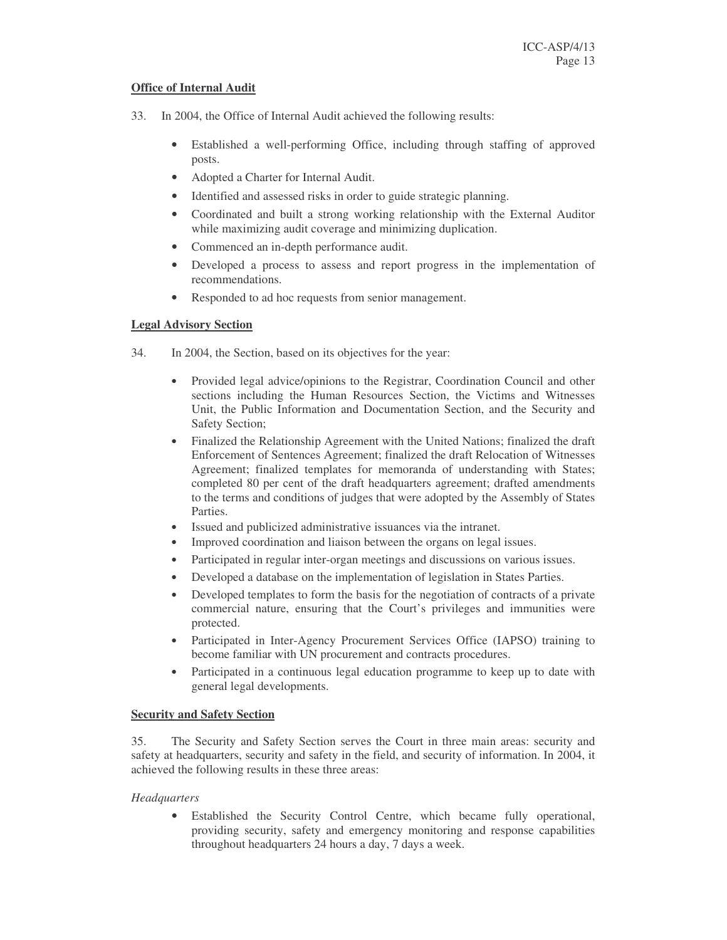#### **Office of Internal Audit**

- 33. In 2004, the Office of Internal Audit achieved the following results:
	- Established a well-performing Office, including through staffing of approved posts.
	- Adopted a Charter for Internal Audit.
	- Identified and assessed risks in order to guide strategic planning.
	- Coordinated and built a strong working relationship with the External Auditor while maximizing audit coverage and minimizing duplication.
	- Commenced an in-depth performance audit.
	- Developed a process to assess and report progress in the implementation of recommendations.
	- Responded to ad hoc requests from senior management.

#### **Legal Advisory Section**

- 34. In 2004, the Section, based on its objectives for the year:
	- Provided legal advice/opinions to the Registrar, Coordination Council and other sections including the Human Resources Section, the Victims and Witnesses Unit, the Public Information and Documentation Section, and the Security and Safety Section;
	- Finalized the Relationship Agreement with the United Nations; finalized the draft Enforcement of Sentences Agreement; finalized the draft Relocation of Witnesses Agreement; finalized templates for memoranda of understanding with States; completed 80 per cent of the draft headquarters agreement; drafted amendments to the terms and conditions of judges that were adopted by the Assembly of States Parties.
	- Issued and publicized administrative issuances via the intranet.
	- Improved coordination and liaison between the organs on legal issues.
	- Participated in regular inter-organ meetings and discussions on various issues.
	- Developed a database on the implementation of legislation in States Parties.
	- Developed templates to form the basis for the negotiation of contracts of a private commercial nature, ensuring that the Court's privileges and immunities were protected.
	- Participated in Inter-Agency Procurement Services Office (IAPSO) training to become familiar with UN procurement and contracts procedures.
	- Participated in a continuous legal education programme to keep up to date with general legal developments.

#### **Security and Safety Section**

35. The Security and Safety Section serves the Court in three main areas: security and safety at headquarters, security and safety in the field, and security of information. In 2004, it achieved the following results in these three areas:

#### *Headquarters*

Established the Security Control Centre, which became fully operational, providing security, safety and emergency monitoring and response capabilities throughout headquarters 24 hours a day, 7 days a week.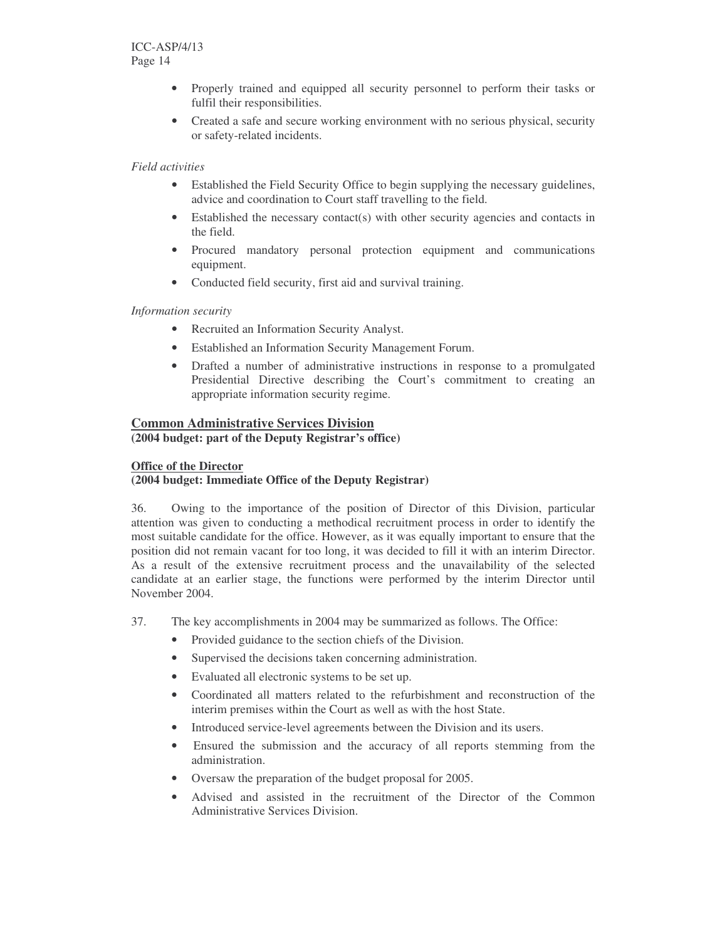- Properly trained and equipped all security personnel to perform their tasks or fulfil their responsibilities.
- Created a safe and secure working environment with no serious physical, security or safety-related incidents.

#### *Field activities*

- Established the Field Security Office to begin supplying the necessary guidelines, advice and coordination to Court staff travelling to the field.
- Established the necessary contact(s) with other security agencies and contacts in the field.
- Procured mandatory personal protection equipment and communications equipment.
- Conducted field security, first aid and survival training.

#### *Information security*

- Recruited an Information Security Analyst.
- Established an Information Security Management Forum.
- Drafted a number of administrative instructions in response to a promulgated Presidential Directive describing the Court's commitment to creating an appropriate information security regime.

#### **Common Administrative Services Division**

**(2004 budget: part of the Deputy Registrar's office)**

#### **Office of the Director**

#### **(2004 budget: Immediate Office of the Deputy Registrar)**

36. Owing to the importance of the position of Director of this Division, particular attention was given to conducting a methodical recruitment process in order to identify the most suitable candidate for the office. However, as it was equally important to ensure that the position did not remain vacant for too long, it was decided to fill it with an interim Director. As a result of the extensive recruitment process and the unavailability of the selected candidate at an earlier stage, the functions were performed by the interim Director until November 2004.

- 37. The key accomplishments in 2004 may be summarized as follows. The Office:
	- Provided guidance to the section chiefs of the Division.
	- Supervised the decisions taken concerning administration.
	- Evaluated all electronic systems to be set up.
	- Coordinated all matters related to the refurbishment and reconstruction of the interim premises within the Court as well as with the host State.
	- Introduced service-level agreements between the Division and its users.
	- Ensured the submission and the accuracy of all reports stemming from the administration.
	- Oversaw the preparation of the budget proposal for 2005.
	- Advised and assisted in the recruitment of the Director of the Common Administrative Services Division.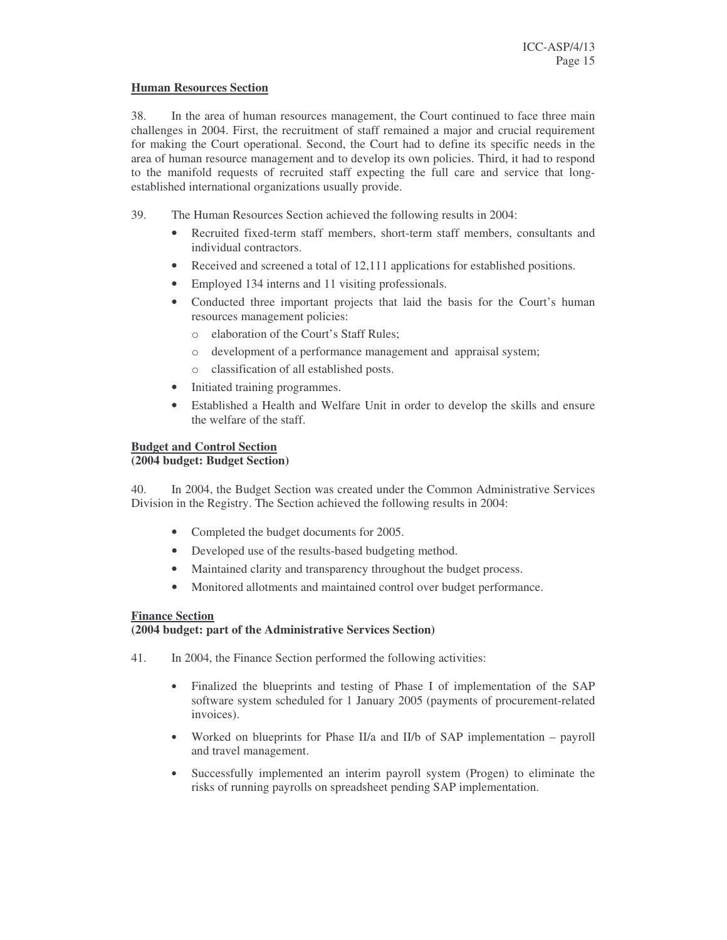#### **Human Resources Section**

38. In the area of human resources management, the Court continued to face three main challenges in 2004. First, the recruitment of staff remained a major and crucial requirement for making the Court operational. Second, the Court had to define its specific needs in the area of human resource management and to develop its own policies. Third, it had to respond to the manifold requests of recruited staff expecting the full care and service that longestablished international organizations usually provide.

- 39. The Human Resources Section achieved the following results in 2004:
	- Recruited fixed-term staff members, short-term staff members, consultants and individual contractors.
	- Received and screened a total of 12,111 applications for established positions.
	- Employed 134 interns and 11 visiting professionals.
	- Conducted three important projects that laid the basis for the Court's human resources management policies:
		- o elaboration of the Court's Staff Rules;
		- o development of a performance management and appraisal system;
		- o classification of all established posts.
	- Initiated training programmes.
	- Established a Health and Welfare Unit in order to develop the skills and ensure the welfare of the staff.

#### **Budget and Control Section**

#### **(2004 budget: Budget Section)**

40. In 2004, the Budget Section was created under the Common Administrative Services Division in the Registry. The Section achieved the following results in 2004:

- Completed the budget documents for 2005.
- Developed use of the results-based budgeting method.
- Maintained clarity and transparency throughout the budget process.
- Monitored allotments and maintained control over budget performance.

#### **Finance Section**

#### **(2004 budget: part of the Administrative Services Section)**

- 41. In 2004, the Finance Section performed the following activities:
	- Finalized the blueprints and testing of Phase I of implementation of the SAP software system scheduled for 1 January 2005 (payments of procurement-related invoices).
	- Worked on blueprints for Phase II/a and II/b of SAP implementation payroll and travel management.
	- Successfully implemented an interim payroll system (Progen) to eliminate the risks of running payrolls on spreadsheet pending SAP implementation.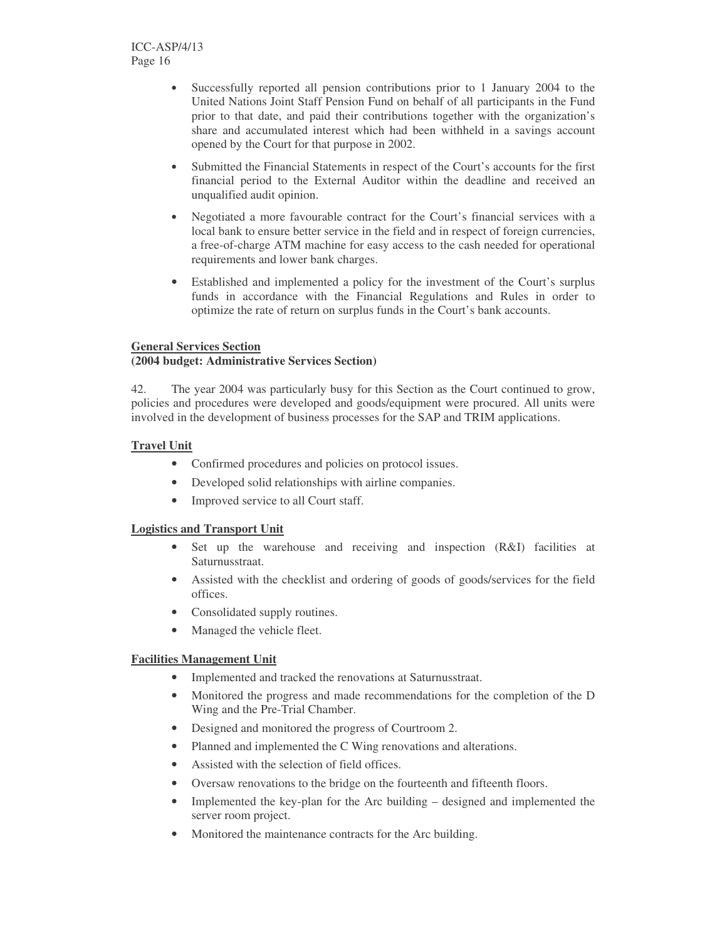- Successfully reported all pension contributions prior to 1 January 2004 to the United Nations Joint Staff Pension Fund on behalf of all participants in the Fund prior to that date, and paid their contributions together with the organization's share and accumulated interest which had been withheld in a savings account opened by the Court for that purpose in 2002.
- Submitted the Financial Statements in respect of the Court's accounts for the first financial period to the External Auditor within the deadline and received an unqualified audit opinion.
- Negotiated a more favourable contract for the Court's financial services with a local bank to ensure better service in the field and in respect of foreign currencies, a free-of-charge ATM machine for easy access to the cash needed for operational requirements and lower bank charges.
- Established and implemented a policy for the investment of the Court's surplus funds in accordance with the Financial Regulations and Rules in order to optimize the rate of return on surplus funds in the Court's bank accounts.

### **General Services Section**

#### **(2004 budget: Administrative Services Section)**

42. The year 2004 was particularly busy for this Section as the Court continued to grow, policies and procedures were developed and goods/equipment were procured. All units were involved in the development of business processes for the SAP and TRIM applications.

#### **Travel Unit**

- Confirmed procedures and policies on protocol issues.
- Developed solid relationships with airline companies.
- Improved service to all Court staff.

#### **Logistics and Transport Unit**

- Set up the warehouse and receiving and inspection (R&I) facilities at Saturnusstraat.
- Assisted with the checklist and ordering of goods of goods/services for the field offices.
- Consolidated supply routines.
- Managed the vehicle fleet.

# **Facilities Management Unit**

- Implemented and tracked the renovations at Saturnusstraat.
- Monitored the progress and made recommendations for the completion of the D Wing and the Pre-Trial Chamber.
- Designed and monitored the progress of Courtroom 2.
- Planned and implemented the C Wing renovations and alterations.
- Assisted with the selection of field offices.
- Oversaw renovations to the bridge on the fourteenth and fifteenth floors.
- Implemented the key-plan for the Arc building designed and implemented the server room project.
- Monitored the maintenance contracts for the Arc building.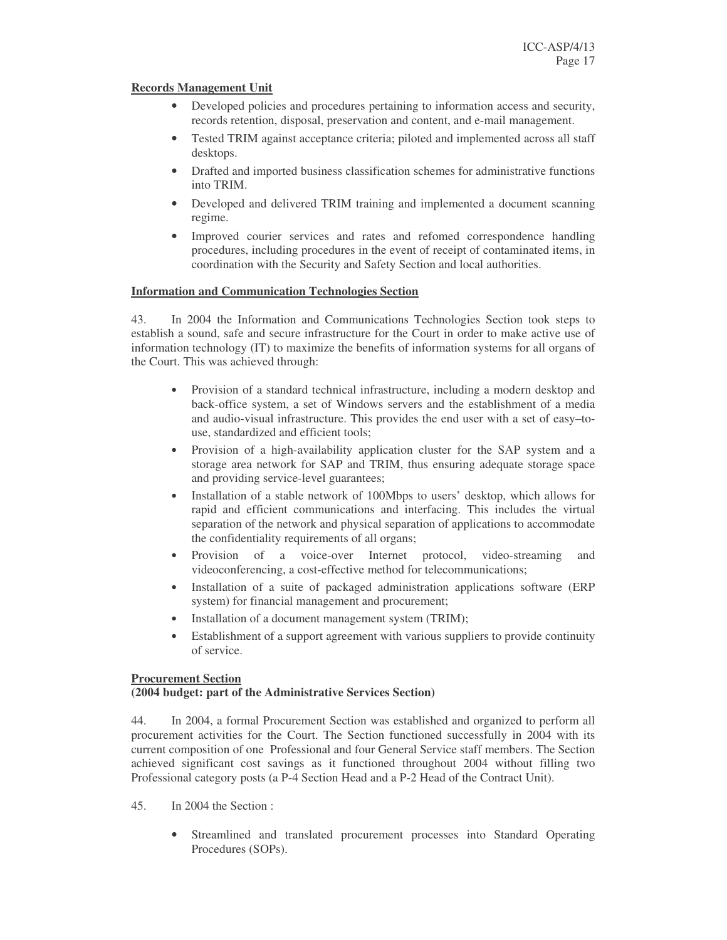#### **Records Management Unit**

- Developed policies and procedures pertaining to information access and security, records retention, disposal, preservation and content, and e-mail management.
- Tested TRIM against acceptance criteria; piloted and implemented across all staff desktops.
- Drafted and imported business classification schemes for administrative functions into TRIM.
- Developed and delivered TRIM training and implemented a document scanning regime.
- Improved courier services and rates and refomed correspondence handling procedures, including procedures in the event of receipt of contaminated items, in coordination with the Security and Safety Section and local authorities.

#### **Information and Communication Technologies Section**

43. In 2004 the Information and Communications Technologies Section took steps to establish a sound, safe and secure infrastructure for the Court in order to make active use of information technology (IT) to maximize the benefits of information systems for all organs of the Court. This was achieved through:

- Provision of a standard technical infrastructure, including a modern desktop and back-office system, a set of Windows servers and the establishment of a media and audio-visual infrastructure. This provides the end user with a set of easy–touse, standardized and efficient tools;
- Provision of a high-availability application cluster for the SAP system and a storage area network for SAP and TRIM, thus ensuring adequate storage space and providing service-level guarantees;
- Installation of a stable network of 100Mbps to users' desktop, which allows for rapid and efficient communications and interfacing. This includes the virtual separation of the network and physical separation of applications to accommodate the confidentiality requirements of all organs;
- Provision of a voice-over Internet protocol, video-streaming and videoconferencing, a cost-effective method for telecommunications;
- Installation of a suite of packaged administration applications software (ERP system) for financial management and procurement;
- Installation of a document management system (TRIM);
- Establishment of a support agreement with various suppliers to provide continuity of service.

#### **Procurement Section**

#### **(2004 budget: part of the Administrative Services Section)**

44. In 2004, a formal Procurement Section was established and organized to perform all procurement activities for the Court. The Section functioned successfully in 2004 with its current composition of one Professional and four General Service staff members. The Section achieved significant cost savings as it functioned throughout 2004 without filling two Professional category posts (a P-4 Section Head and a P-2 Head of the Contract Unit).

- 45. In 2004 the Section :
	- Streamlined and translated procurement processes into Standard Operating Procedures (SOPs).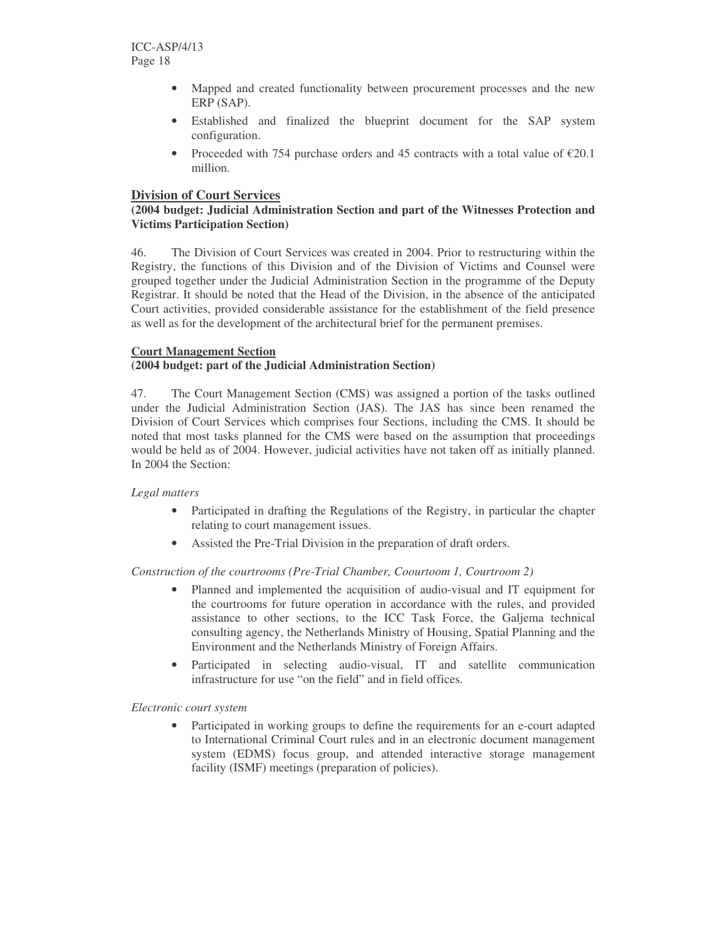- Mapped and created functionality between procurement processes and the new ERP (SAP).
- Established and finalized the blueprint document for the SAP system configuration.
- Proceeded with 754 purchase orders and 45 contracts with a total value of  $\epsilon$ 20.1 million.

# **Division of Court Services**

#### **(2004 budget: Judicial Administration Section and part of the Witnesses Protection and Victims Participation Section)**

46. The Division of Court Services was created in 2004. Prior to restructuring within the Registry, the functions of this Division and of the Division of Victims and Counsel were grouped together under the Judicial Administration Section in the programme of the Deputy Registrar. It should be noted that the Head of the Division, in the absence of the anticipated Court activities, provided considerable assistance for the establishment of the field presence as well as for the development of the architectural brief for the permanent premises.

#### **Court Management Section**

#### **(2004 budget: part of the Judicial Administration Section)**

47. The Court Management Section (CMS) was assigned a portion of the tasks outlined under the Judicial Administration Section (JAS). The JAS has since been renamed the Division of Court Services which comprises four Sections, including the CMS. It should be noted that most tasks planned for the CMS were based on the assumption that proceedings would be held as of 2004. However, judicial activities have not taken off as initially planned. In 2004 the Section:

#### *Legal matters*

- Participated in drafting the Regulations of the Registry, in particular the chapter relating to court management issues.
- Assisted the Pre-Trial Division in the preparation of draft orders.

#### *Construction of the courtrooms (Pre-Trial Chamber, Coourtoom 1, Courtroom 2)*

- Planned and implemented the acquisition of audio-visual and IT equipment for the courtrooms for future operation in accordance with the rules, and provided assistance to other sections, to the ICC Task Force, the Galjema technical consulting agency, the Netherlands Ministry of Housing, Spatial Planning and the Environment and the Netherlands Ministry of Foreign Affairs.
- Participated in selecting audio-visual, IT and satellite communication infrastructure for use "on the field" and in field offices.

#### *Electronic court system*

• Participated in working groups to define the requirements for an e-court adapted to International Criminal Court rules and in an electronic document management system (EDMS) focus group, and attended interactive storage management facility (ISMF) meetings (preparation of policies).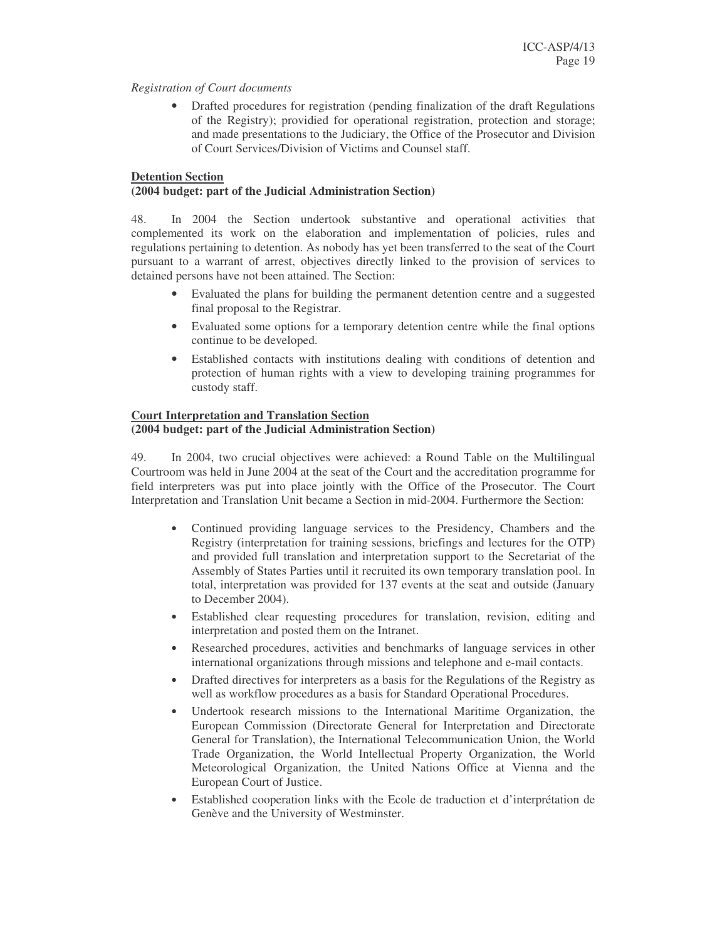#### *Registration of Court documents*

• Drafted procedures for registration (pending finalization of the draft Regulations of the Registry); providied for operational registration, protection and storage; and made presentations to the Judiciary, the Office of the Prosecutor and Division of Court Services/Division of Victims and Counsel staff.

#### **Detention Section**

#### **(2004 budget: part of the Judicial Administration Section)**

48. In 2004 the Section undertook substantive and operational activities that complemented its work on the elaboration and implementation of policies, rules and regulations pertaining to detention. As nobody has yet been transferred to the seat of the Court pursuant to a warrant of arrest, objectives directly linked to the provision of services to detained persons have not been attained. The Section:

- Evaluated the plans for building the permanent detention centre and a suggested final proposal to the Registrar.
- Evaluated some options for a temporary detention centre while the final options continue to be developed.
- Established contacts with institutions dealing with conditions of detention and protection of human rights with a view to developing training programmes for custody staff.

#### **Court Interpretation and Translation Section (2004 budget: part of the Judicial Administration Section)**

49. In 2004, two crucial objectives were achieved: a Round Table on the Multilingual Courtroom was held in June 2004 at the seat of the Court and the accreditation programme for field interpreters was put into place jointly with the Office of the Prosecutor. The Court Interpretation and Translation Unit became a Section in mid-2004. Furthermore the Section:

- Continued providing language services to the Presidency, Chambers and the Registry (interpretation for training sessions, briefings and lectures for the OTP) and provided full translation and interpretation support to the Secretariat of the Assembly of States Parties until it recruited its own temporary translation pool. In total, interpretation was provided for 137 events at the seat and outside (January to December 2004).
- Established clear requesting procedures for translation, revision, editing and interpretation and posted them on the Intranet.
- Researched procedures, activities and benchmarks of language services in other international organizations through missions and telephone and e-mail contacts.
- Drafted directives for interpreters as a basis for the Regulations of the Registry as well as workflow procedures as a basis for Standard Operational Procedures.
- Undertook research missions to the International Maritime Organization, the European Commission (Directorate General for Interpretation and Directorate General for Translation), the International Telecommunication Union, the World Trade Organization, the World Intellectual Property Organization, the World Meteorological Organization, the United Nations Office at Vienna and the European Court of Justice.
- Established cooperation links with the Ecole de traduction et d'interprétation de Genève and the University of Westminster.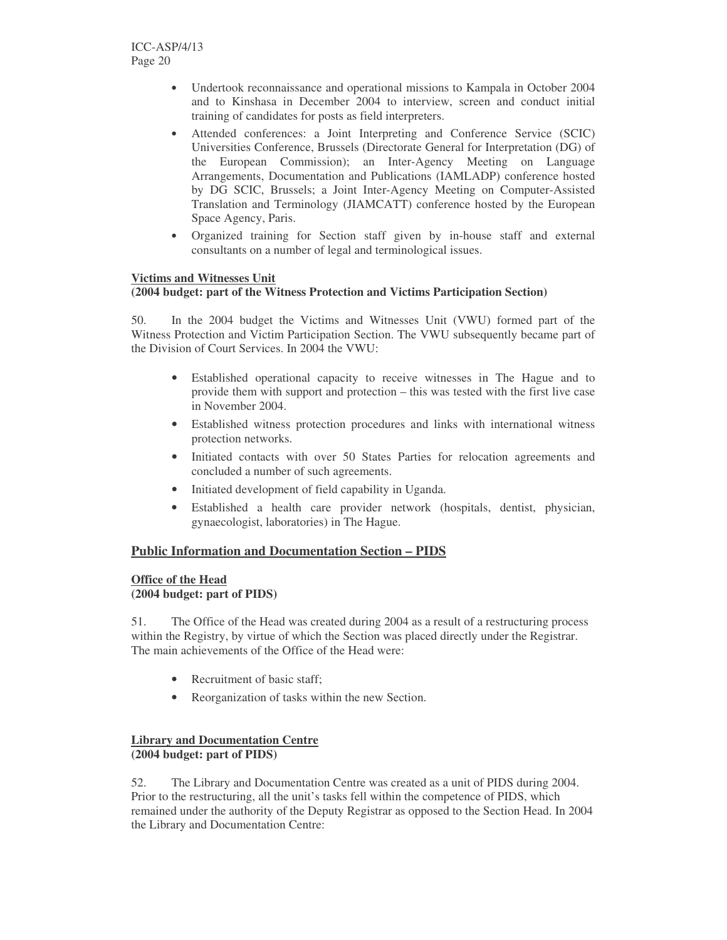- Undertook reconnaissance and operational missions to Kampala in October 2004 and to Kinshasa in December 2004 to interview, screen and conduct initial training of candidates for posts as field interpreters.
- Attended conferences: a Joint Interpreting and Conference Service (SCIC) Universities Conference, Brussels (Directorate General for Interpretation (DG) of the European Commission); an Inter-Agency Meeting on Language Arrangements, Documentation and Publications (IAMLADP) conference hosted by DG SCIC, Brussels; a Joint Inter-Agency Meeting on Computer-Assisted Translation and Terminology (JIAMCATT) conference hosted by the European Space Agency, Paris.
- Organized training for Section staff given by in-house staff and external consultants on a number of legal and terminological issues.

#### **Victims and Witnesses Unit**

#### **(2004 budget: part of the Witness Protection and Victims Participation Section)**

50. In the 2004 budget the Victims and Witnesses Unit (VWU) formed part of the Witness Protection and Victim Participation Section. The VWU subsequently became part of the Division of Court Services. In 2004 the VWU:

- Established operational capacity to receive witnesses in The Hague and to provide them with support and protection – this was tested with the first live case in November 2004.
- Established witness protection procedures and links with international witness protection networks.
- Initiated contacts with over 50 States Parties for relocation agreements and concluded a number of such agreements.
- Initiated development of field capability in Uganda.
- Established a health care provider network (hospitals, dentist, physician, gynaecologist, laboratories) in The Hague.

# **Public Information and Documentation Section – PIDS**

#### **Office of the Head (2004 budget: part of PIDS)**

51. The Office of the Head was created during 2004 as a result of a restructuring process within the Registry, by virtue of which the Section was placed directly under the Registrar. The main achievements of the Office of the Head were:

- Recruitment of basic staff;
- Reorganization of tasks within the new Section.

#### **Library and Documentation Centre (2004 budget: part of PIDS)**

52. The Library and Documentation Centre was created as a unit of PIDS during 2004. Prior to the restructuring, all the unit's tasks fell within the competence of PIDS, which remained under the authority of the Deputy Registrar as opposed to the Section Head. In 2004 the Library and Documentation Centre: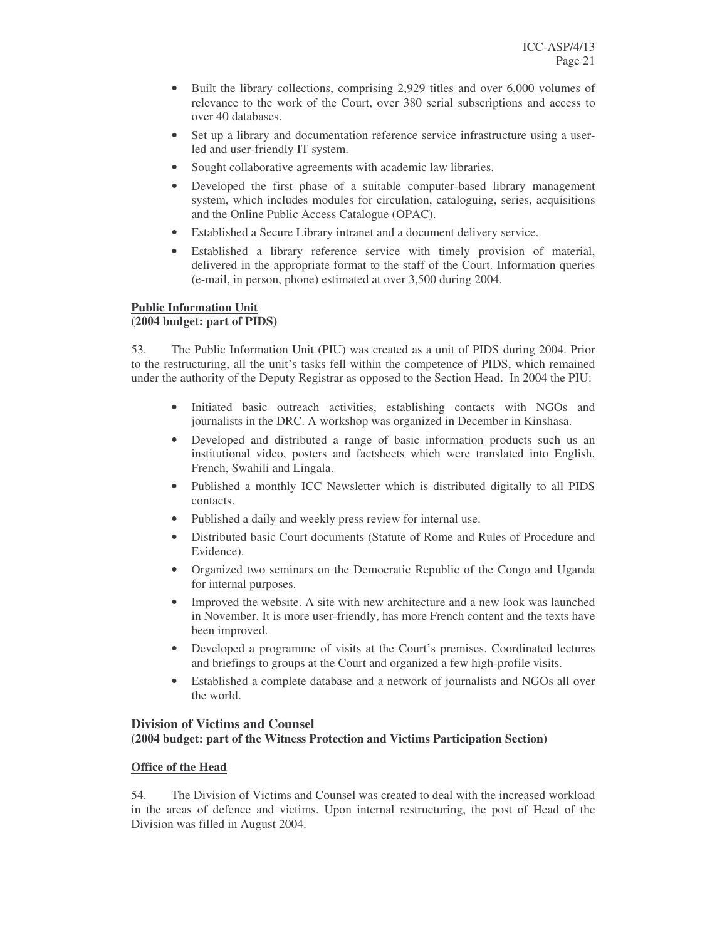- Built the library collections, comprising 2,929 titles and over 6,000 volumes of relevance to the work of the Court, over 380 serial subscriptions and access to over 40 databases.
- Set up a library and documentation reference service infrastructure using a userled and user-friendly IT system.
- Sought collaborative agreements with academic law libraries.
- Developed the first phase of a suitable computer-based library management system, which includes modules for circulation, cataloguing, series, acquisitions and the Online Public Access Catalogue (OPAC).
- Established a Secure Library intranet and a document delivery service.
- Established a library reference service with timely provision of material, delivered in the appropriate format to the staff of the Court. Information queries (e-mail, in person, phone) estimated at over 3,500 during 2004.

#### **Public Information Unit**

#### **(2004 budget: part of PIDS)**

53. The Public Information Unit (PIU) was created as a unit of PIDS during 2004. Prior to the restructuring, all the unit's tasks fell within the competence of PIDS, which remained under the authority of the Deputy Registrar as opposed to the Section Head. In 2004 the PIU:

- Initiated basic outreach activities, establishing contacts with NGOs and journalists in the DRC. A workshop was organized in December in Kinshasa.
- Developed and distributed a range of basic information products such us an institutional video, posters and factsheets which were translated into English, French, Swahili and Lingala.
- Published a monthly ICC Newsletter which is distributed digitally to all PIDS contacts.
- Published a daily and weekly press review for internal use.
- Distributed basic Court documents (Statute of Rome and Rules of Procedure and Evidence).
- Organized two seminars on the Democratic Republic of the Congo and Uganda for internal purposes.
- Improved the website. A site with new architecture and a new look was launched in November. It is more user-friendly, has more French content and the texts have been improved.
- Developed a programme of visits at the Court's premises. Coordinated lectures and briefings to groups at the Court and organized a few high-profile visits.
- Established a complete database and a network of journalists and NGOs all over the world.

#### **Division of Victims and Counsel (2004 budget: part of the Witness Protection and Victims Participation Section)**

#### **Office of the Head**

54. The Division of Victims and Counsel was created to deal with the increased workload in the areas of defence and victims. Upon internal restructuring, the post of Head of the Division was filled in August 2004.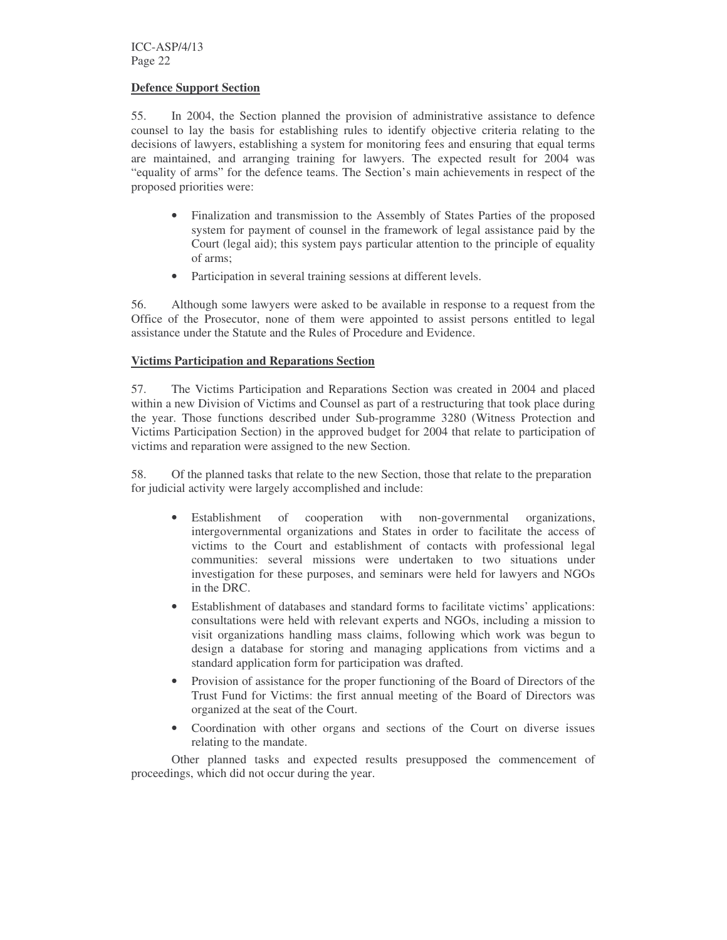ICC-ASP/4/13 Page 22

#### **Defence Support Section**

55. In 2004, the Section planned the provision of administrative assistance to defence counsel to lay the basis for establishing rules to identify objective criteria relating to the decisions of lawyers, establishing a system for monitoring fees and ensuring that equal terms are maintained, and arranging training for lawyers. The expected result for 2004 was "equality of arms" for the defence teams. The Section's main achievements in respect of the proposed priorities were:

- Finalization and transmission to the Assembly of States Parties of the proposed system for payment of counsel in the framework of legal assistance paid by the Court (legal aid); this system pays particular attention to the principle of equality of arms;
- Participation in several training sessions at different levels.

56. Although some lawyers were asked to be available in response to a request from the Office of the Prosecutor, none of them were appointed to assist persons entitled to legal assistance under the Statute and the Rules of Procedure and Evidence.

#### **Victims Participation and Reparations Section**

57. The Victims Participation and Reparations Section was created in 2004 and placed within a new Division of Victims and Counsel as part of a restructuring that took place during the year. Those functions described under Sub-programme 3280 (Witness Protection and Victims Participation Section) in the approved budget for 2004 that relate to participation of victims and reparation were assigned to the new Section.

58. Of the planned tasks that relate to the new Section, those that relate to the preparation for judicial activity were largely accomplished and include:

- Establishment of cooperation with non-governmental organizations, intergovernmental organizations and States in order to facilitate the access of victims to the Court and establishment of contacts with professional legal communities: several missions were undertaken to two situations under investigation for these purposes, and seminars were held for lawyers and NGOs in the DRC.
- Establishment of databases and standard forms to facilitate victims' applications: consultations were held with relevant experts and NGOs, including a mission to visit organizations handling mass claims, following which work was begun to design a database for storing and managing applications from victims and a standard application form for participation was drafted.
- Provision of assistance for the proper functioning of the Board of Directors of the Trust Fund for Victims: the first annual meeting of the Board of Directors was organized at the seat of the Court.
- Coordination with other organs and sections of the Court on diverse issues relating to the mandate.

Other planned tasks and expected results presupposed the commencement of proceedings, which did not occur during the year.